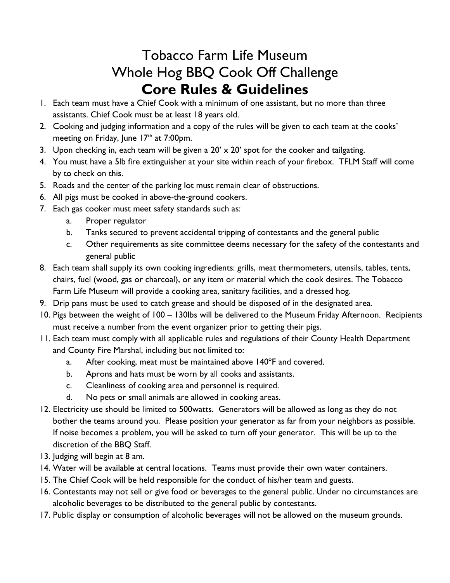## Tobacco Farm Life Museum Whole Hog BBQ Cook Off Challenge **Core Rules & Guidelines**

- 1. Each team must have a Chief Cook with a minimum of one assistant, but no more than three assistants. Chief Cook must be at least 18 years old.
- 2. Cooking and judging information and a copy of the rules will be given to each team at the cooks' meeting on Friday, June  $17<sup>th</sup>$  at 7:00pm.
- 3. Upon checking in, each team will be given a  $20' \times 20'$  spot for the cooker and tailgating.
- 4. You must have a 5lb fire extinguisher at your site within reach of your firebox. TFLM Staff will come by to check on this.
- 5. Roads and the center of the parking lot must remain clear of obstructions.
- 6. All pigs must be cooked in above-the-ground cookers.
- 7. Each gas cooker must meet safety standards such as:
	- a. Proper regulator
	- b. Tanks secured to prevent accidental tripping of contestants and the general public
	- c. Other requirements as site committee deems necessary for the safety of the contestants and general public
- 8. Each team shall supply its own cooking ingredients: grills, meat thermometers, utensils, tables, tents, chairs, fuel (wood, gas or charcoal), or any item or material which the cook desires. The Tobacco Farm Life Museum will provide a cooking area, sanitary facilities, and a dressed hog.
- 9. Drip pans must be used to catch grease and should be disposed of in the designated area.
- 10. Pigs between the weight of 100 130lbs will be delivered to the Museum Friday Afternoon. Recipients must receive a number from the event organizer prior to getting their pigs.
- 11. Each team must comply with all applicable rules and regulations of their County Health Department and County Fire Marshal, including but not limited to:
	- a. After cooking, meat must be maintained above 140°F and covered.
	- b. Aprons and hats must be worn by all cooks and assistants.
	- c. Cleanliness of cooking area and personnel is required.
	- d. No pets or small animals are allowed in cooking areas.
- 12. Electricity use should be limited to 500watts. Generators will be allowed as long as they do not bother the teams around you. Please position your generator as far from your neighbors as possible. If noise becomes a problem, you will be asked to turn off your generator. This will be up to the discretion of the BBQ Staff.
- 13. Judging will begin at 8 am.
- 14. Water will be available at central locations. Teams must provide their own water containers.
- 15. The Chief Cook will be held responsible for the conduct of his/her team and guests.
- 16. Contestants may not sell or give food or beverages to the general public. Under no circumstances are alcoholic beverages to be distributed to the general public by contestants.
- 17. Public display or consumption of alcoholic beverages will not be allowed on the museum grounds.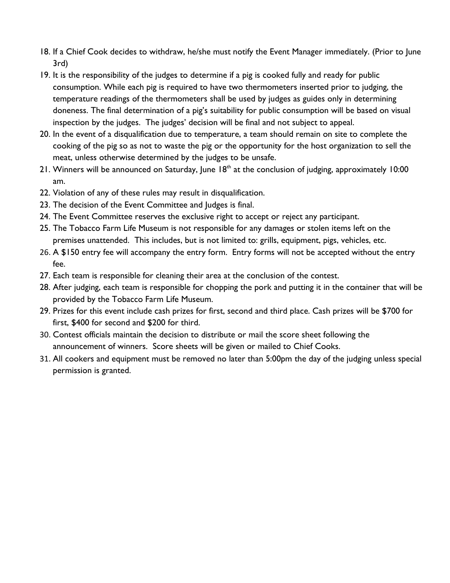- 18. If a Chief Cook decides to withdraw, he/she must notify the Event Manager immediately. (Prior to June 3rd)
- 19. It is the responsibility of the judges to determine if a pig is cooked fully and ready for public consumption. While each pig is required to have two thermometers inserted prior to judging, the temperature readings of the thermometers shall be used by judges as guides only in determining doneness. The final determination of a pig's suitability for public consumption will be based on visual inspection by the judges. The judges' decision will be final and not subject to appeal.
- 20. In the event of a disqualification due to temperature, a team should remain on site to complete the cooking of the pig so as not to waste the pig or the opportunity for the host organization to sell the meat, unless otherwise determined by the judges to be unsafe.
- 21. Winners will be announced on Saturday, June  $18<sup>th</sup>$  at the conclusion of judging, approximately 10:00 am.
- 22. Violation of any of these rules may result in disqualification.
- 23. The decision of the Event Committee and Judges is final.
- 24. The Event Committee reserves the exclusive right to accept or reject any participant.
- 25. The Tobacco Farm Life Museum is not responsible for any damages or stolen items left on the premises unattended. This includes, but is not limited to: grills, equipment, pigs, vehicles, etc.
- 26. A \$150 entry fee will accompany the entry form. Entry forms will not be accepted without the entry fee.
- 27. Each team is responsible for cleaning their area at the conclusion of the contest.
- 28. After judging, each team is responsible for chopping the pork and putting it in the container that will be provided by the Tobacco Farm Life Museum.
- 29. Prizes for this event include cash prizes for first, second and third place. Cash prizes will be \$700 for first, \$400 for second and \$200 for third.
- 30. Contest officials maintain the decision to distribute or mail the score sheet following the announcement of winners. Score sheets will be given or mailed to Chief Cooks.
- 31. All cookers and equipment must be removed no later than 5:00pm the day of the judging unless special permission is granted.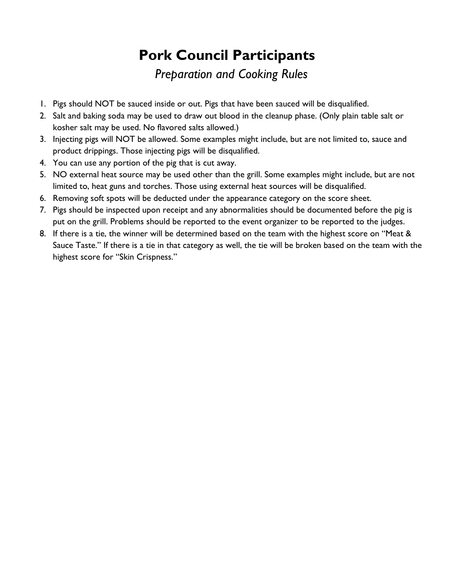# **Pork Council Participants**

### *Preparation and Cooking Rules*

- 1. Pigs should NOT be sauced inside or out. Pigs that have been sauced will be disqualified.
- 2. Salt and baking soda may be used to draw out blood in the cleanup phase. (Only plain table salt or kosher salt may be used. No flavored salts allowed.)
- 3. Injecting pigs will NOT be allowed. Some examples might include, but are not limited to, sauce and product drippings. Those injecting pigs will be disqualified.
- 4. You can use any portion of the pig that is cut away.
- 5. NO external heat source may be used other than the grill. Some examples might include, but are not limited to, heat guns and torches. Those using external heat sources will be disqualified.
- 6. Removing soft spots will be deducted under the appearance category on the score sheet.
- 7. Pigs should be inspected upon receipt and any abnormalities should be documented before the pig is put on the grill. Problems should be reported to the event organizer to be reported to the judges.
- 8. If there is a tie, the winner will be determined based on the team with the highest score on "Meat & Sauce Taste." If there is a tie in that category as well, the tie will be broken based on the team with the highest score for "Skin Crispness."